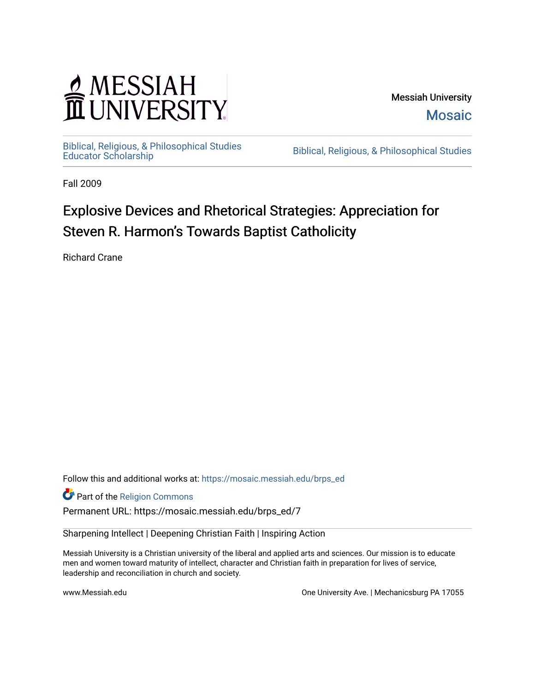## MESSIAH<br>TUNIVERSITY

Messiah University [Mosaic](https://mosaic.messiah.edu/) 

[Biblical, Religious, & Philosophical Studies](https://mosaic.messiah.edu/brps_ed) 

Biblical, Religious, & Philosophical Studies

Fall 2009

## Explosive Devices and Rhetorical Strategies: Appreciation for Steven R. Harmon's Towards Baptist Catholicity

Richard Crane

Follow this and additional works at: [https://mosaic.messiah.edu/brps\\_ed](https://mosaic.messiah.edu/brps_ed?utm_source=mosaic.messiah.edu%2Fbrps_ed%2F7&utm_medium=PDF&utm_campaign=PDFCoverPages) 

Part of the [Religion Commons](http://network.bepress.com/hgg/discipline/538?utm_source=mosaic.messiah.edu%2Fbrps_ed%2F7&utm_medium=PDF&utm_campaign=PDFCoverPages)

Permanent URL: https://mosaic.messiah.edu/brps\_ed/7

Sharpening Intellect | Deepening Christian Faith | Inspiring Action

Messiah University is a Christian university of the liberal and applied arts and sciences. Our mission is to educate men and women toward maturity of intellect, character and Christian faith in preparation for lives of service, leadership and reconciliation in church and society.

www.Messiah.edu **One University Ave. | Mechanicsburg PA 17055**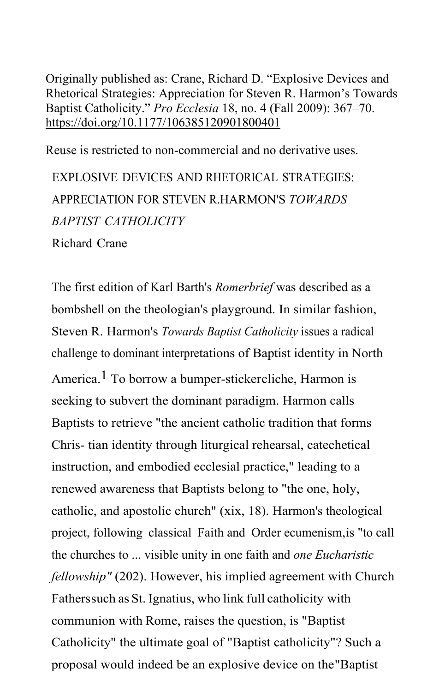Originally published as: Crane, Richard D. "Explosive Devices and Rhetorical Strategies: Appreciation for Steven R. Harmon's Towards Baptist Catholicity." *Pro Ecclesia* 18, no. 4 (Fall 2009): 367–70. [https://doi.org/10.1177/106385120901800401](https://doi.org/10.1177%2F106385120901800401)

Reuse is restricted to non-commercial and no derivative uses.

EXPLOSIVE DEVICES AND RHETORICAL STRATEGIES: APPRECIATION FOR STEVEN R.HARMON'S *TOWARDS BAPTIST CATHOLICITY* Richard Crane

The first edition of Karl Barth's *Romerbrief* was described as a bombshell on the theologian's playground. In similar fashion, Steven R. Harmon's *Towards Baptist Catholicity* issues a radical challenge to dominant interpretations of Baptist identity in North America.<sup>1</sup> To borrow a bumper-stickercliche, Harmon is seeking to subvert the dominant paradigm. Harmon calls Baptists to retrieve "the ancient catholic tradition that forms Chris- tian identity through liturgical rehearsal, catechetical instruction, and embodied ecclesial practice," leading to a renewed awareness that Baptists belong to "the one, holy, catholic, and apostolic church" (xix, 18). Harmon's theological project, following classical Faith and Order ecumenism,is "to call the churches to ... visible unity in one faith and *one Eucharistic fellowship"* (202). However, his implied agreement with Church Fatherssuch as St. Ignatius, who link full catholicity with communion with Rome, raises the question, is "Baptist Catholicity" the ultimate goal of "Baptist catholicity"? Such a proposal would indeed be an explosive device on the"Baptist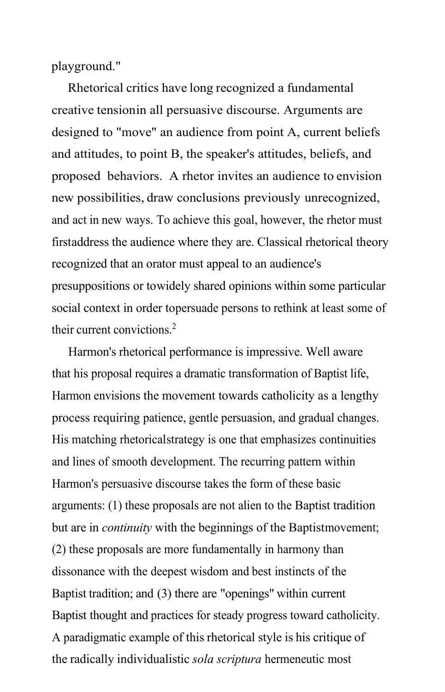playground."

Rhetorical critics have long recognized a fundamental creative tensionin all persuasive discourse. Arguments are designed to "move" an audience from point A, current beliefs and attitudes, to point B, the speaker's attitudes, beliefs, and proposed behaviors. A rhetor invites an audience to envision new possibilities, draw conclusions previously unrecognized, and act in new ways. To achieve this goal, however, the rhetor must firstaddress the audience where they are. Classical rhetorical theory recognized that an orator must appeal to an audience's presuppositions or towidely shared opinions within some particular social context in order topersuade persons to rethink at least some of their current convictions.<sup>2</sup>

Harmon's rhetorical performance is impressive. Well aware that his proposal requires a dramatic transformation of Baptist life, Harmon envisions the movement towards catholicity as a lengthy process requiring patience, gentle persuasion, and gradual changes. His matching rhetoricalstrategy is one that emphasizes continuities and lines of smooth development. The recurring pattern within Harmon's persuasive discourse takes the form of these basic arguments: (1) these proposals are not alien to the Baptist tradition but are in *continuity* with the beginnings of the Baptistmovement; (2) these proposals are more fundamentally in harmony than dissonance with the deepest wisdom and best instincts of the Baptist tradition; and (3) there are "openings" within current Baptist thought and practices for steady progress toward catholicity. A paradigmatic example of this rhetorical style is his critique of the radically individualistic *sola scriptura* hermeneutic most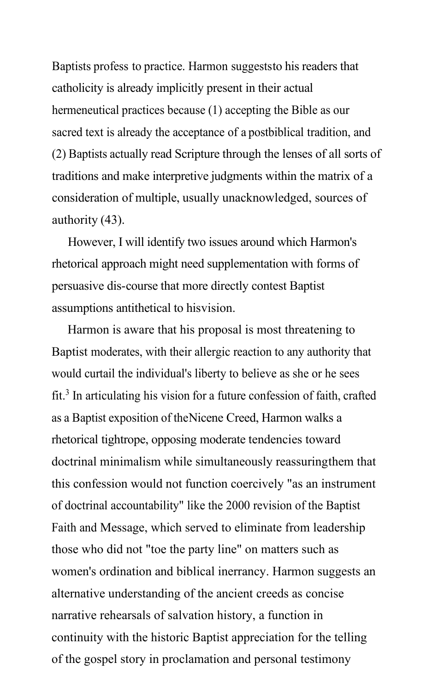Baptists profess to practice. Harmon suggeststo his readers that catholicity is already implicitly present in their actual hermeneutical practices because (1) accepting the Bible as our sacred text is already the acceptance of a postbiblical tradition, and (2) Baptists actually read Scripture through the lenses of all sorts of traditions and make interpretive judgments within the matrix of a consideration of multiple, usually unacknowledged, sources of authority (43).

However, I will identify two issues around which Harmon's rhetorical approach might need supplementation with forms of persuasive dis-course that more directly contest Baptist assumptions antithetical to hisvision.

Harmon is aware that his proposal is most threatening to Baptist moderates, with their allergic reaction to any authority that would curtail the individual's liberty to believe as she or he sees  $fit<sup>3</sup>$  In articulating his vision for a future confession of faith, crafted as a Baptist exposition of theNicene Creed, Harmon walks a rhetorical tightrope, opposing moderate tendencies toward doctrinal minimalism while simultaneously reassuringthem that this confession would not function coercively "as an instrument of doctrinal accountability" like the 2000 revision of the Baptist Faith and Message, which served to eliminate from leadership those who did not "toe the party line" on matters such as women's ordination and biblical inerrancy. Harmon suggests an alternative understanding of the ancient creeds as concise narrative rehearsals of salvation history, a function in continuity with the historic Baptist appreciation for the telling of the gospel story in proclamation and personal testimony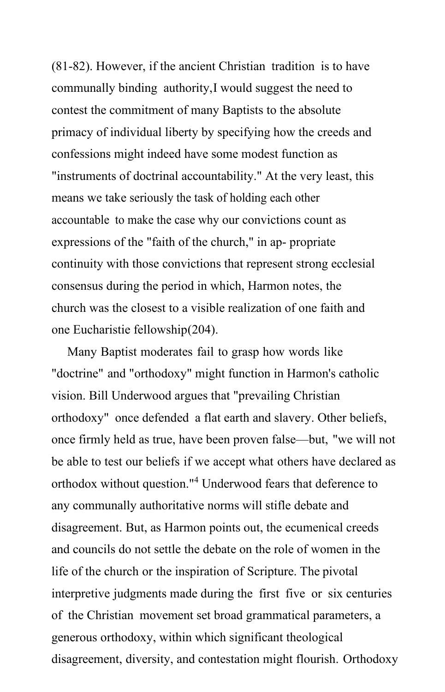(81-82). However, if the ancient Christian tradition is to have communally binding authority,I would suggest the need to contest the commitment of many Baptists to the absolute primacy of individual liberty by specifying how the creeds and confessions might indeed have some modest function as "instruments of doctrinal accountability." At the very least, this means we take seriously the task of holding each other accountable to make the case why our convictions count as expressions of the "faith of the church," in ap- propriate continuity with those convictions that represent strong ecclesial consensus during the period in which, Harmon notes, the church was the closest to a visible realization of one faith and one Eucharistie fellowship(204).

Many Baptist moderates fail to grasp how words like "doctrine" and "orthodoxy" might function in Harmon's catholic vision. Bill Underwood argues that "prevailing Christian orthodoxy" once defended a flat earth and slavery. Other beliefs, once firmly held as true, have been proven false—but, "we will not be able to test our beliefs if we accept what others have declared as orthodox without question."<sup>4</sup> Underwood fears that deference to any communally authoritative norms will stifle debate and disagreement. But, as Harmon points out, the ecumenical creeds and councils do not settle the debate on the role of women in the life of the church or the inspiration of Scripture. The pivotal interpretive judgments made during the first five or six centuries of the Christian movement set broad grammatical parameters, a generous orthodoxy, within which significant theological disagreement, diversity, and contestation might flourish. Orthodoxy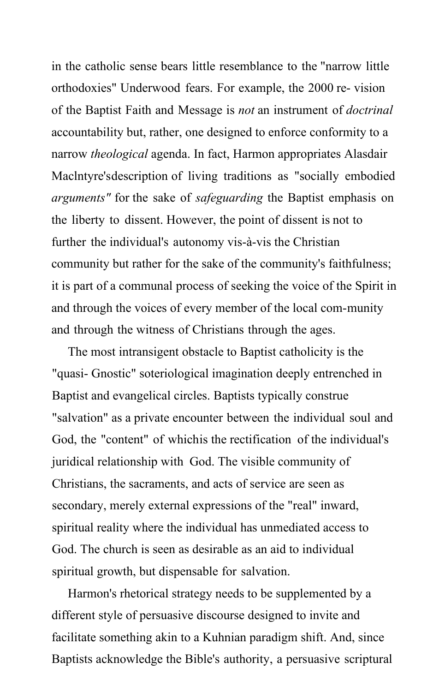in the catholic sense bears little resemblance to the "narrow little orthodoxies" Underwood fears. For example, the 2000 re- vision of the Baptist Faith and Message is *not* an instrument of *doctrinal* accountability but, rather, one designed to enforce conformity to a narrow *theological* agenda. In fact, Harmon appropriates Alasdair Maclntyre'sdescription of living traditions as "socially embodied *arguments"* for the sake of *safeguarding* the Baptist emphasis on the liberty to dissent. However, the point of dissent is not to further the individual's autonomy vis-à-vis the Christian community but rather for the sake of the community's faithfulness; it is part of a communal process of seeking the voice of the Spirit in and through the voices of every member of the local com-munity and through the witness of Christians through the ages.

The most intransigent obstacle to Baptist catholicity is the "quasi- Gnostic" soteriological imagination deeply entrenched in Baptist and evangelical circles. Baptists typically construe "salvation" as a private encounter between the individual soul and God, the "content" of whichis the rectification of the individual's juridical relationship with God. The visible community of Christians, the sacraments, and acts of service are seen as secondary, merely external expressions of the "real" inward, spiritual reality where the individual has unmediated access to God. The church is seen as desirable as an aid to individual spiritual growth, but dispensable for salvation.

Harmon's rhetorical strategy needs to be supplemented by a different style of persuasive discourse designed to invite and facilitate something akin to a Kuhnian paradigm shift. And, since Baptists acknowledge the Bible's authority, a persuasive scriptural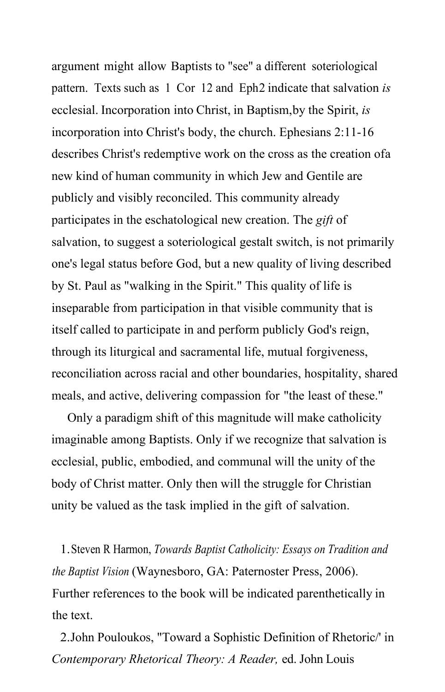argument might allow Baptists to "see" a different soteriological pattern. Texts such as 1 Cor 12 and Eph2 indicate that salvation *is* ecclesial. Incorporation into Christ, in Baptism,by the Spirit, *is*  incorporation into Christ's body, the church. Ephesians 2:11-16 describes Christ's redemptive work on the cross as the creation ofa new kind of human community in which Jew and Gentile are publicly and visibly reconciled. This community already participates in the eschatological new creation. The *gift* of salvation, to suggest a soteriological gestalt switch, is not primarily one's legal status before God, but a new quality of living described by St. Paul as "walking in the Spirit." This quality of life is inseparable from participation in that visible community that is itself called to participate in and perform publicly God's reign, through its liturgical and sacramental life, mutual forgiveness, reconciliation across racial and other boundaries, hospitality, shared meals, and active, delivering compassion for "the least of these."

Only a paradigm shift of this magnitude will make catholicity imaginable among Baptists. Only if we recognize that salvation is ecclesial, public, embodied, and communal will the unity of the body of Christ matter. Only then will the struggle for Christian unity be valued as the task implied in the gift of salvation.

1.Steven R Harmon, *Towards Baptist Catholicity: Essays on Tradition and the Baptist Vision* (Waynesboro, GA: Paternoster Press, 2006). Further references to the book will be indicated parenthetically in the text.

2.John Pouloukos, "Toward a Sophistic Definition of Rhetoric/' in *Contemporary Rhetorical Theory: A Reader,* ed. John Louis